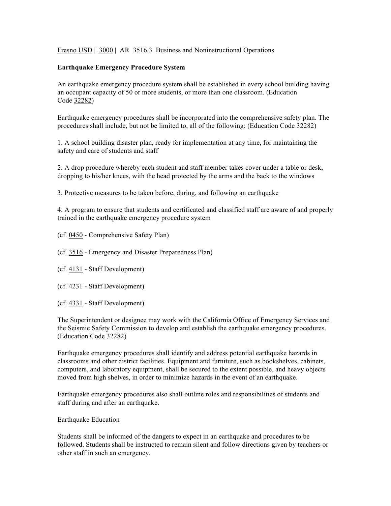Fresno USD | 3000 | AR 3516.3 Business and Noninstructional Operations

## **Earthquake Emergency Procedure System**

An earthquake emergency procedure system shall be established in every school building having an occupant capacity of 50 or more students, or more than one classroom. (Education Code 32282)

Earthquake emergency procedures shall be incorporated into the comprehensive safety plan. The procedures shall include, but not be limited to, all of the following: (Education Code 32282)

1. A school building disaster plan, ready for implementation at any time, for maintaining the safety and care of students and staff

2. A drop procedure whereby each student and staff member takes cover under a table or desk, dropping to his/her knees, with the head protected by the arms and the back to the windows

3. Protective measures to be taken before, during, and following an earthquake

4. A program to ensure that students and certificated and classified staff are aware of and properly trained in the earthquake emergency procedure system

- (cf. 0450 Comprehensive Safety Plan)
- (cf. 3516 Emergency and Disaster Preparedness Plan)
- (cf. 4131 Staff Development)
- (cf. 4231 Staff Development)
- (cf. 4331 Staff Development)

The Superintendent or designee may work with the California Office of Emergency Services and the Seismic Safety Commission to develop and establish the earthquake emergency procedures. (Education Code 32282)

Earthquake emergency procedures shall identify and address potential earthquake hazards in classrooms and other district facilities. Equipment and furniture, such as bookshelves, cabinets, computers, and laboratory equipment, shall be secured to the extent possible, and heavy objects moved from high shelves, in order to minimize hazards in the event of an earthquake.

Earthquake emergency procedures also shall outline roles and responsibilities of students and staff during and after an earthquake.

Earthquake Education

Students shall be informed of the dangers to expect in an earthquake and procedures to be followed. Students shall be instructed to remain silent and follow directions given by teachers or other staff in such an emergency.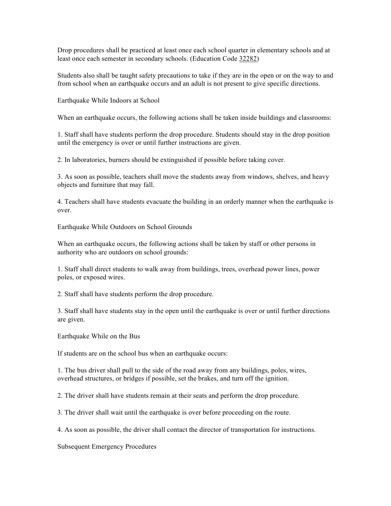Drop procedures shall be practiced at least once each school quarter in elementary schools and at least once each semester in secondary schools. (Education Code 32282)

Students also shall be taught safety precautions to take if they are in the open or on the way to and from school when an earthquake occurs and an adult is not present to give specific directions.

Earthquake While Indoors at School

When an earthquake occurs, the following actions shall be taken inside buildings and classrooms:

1. Staff shall have students perform the drop procedure. Students should stay in the drop position until the emergency is over or until further instructions are given.

2. In laboratories, burners should be extinguished if possible before taking cover.

3. As soon as possible, teachers shall move the students away from windows, shelves, and heavy objects and furniture that may fall.

4. Teachers shall have students evacuate the building in an orderly manner when the earthquake is over.

Earthquake While Outdoors on School Grounds

When an earthquake occurs, the following actions shall be taken by staff or other persons in authority who are outdoors on school grounds:

1. Staff shall direct students to walk away from buildings, trees, overhead power lines, power poles, or exposed wires.

2. Staff shall have students perform the drop procedure.

3. Staff shall have students stay in the open until the earthquake is over or until further directions are given.

Earthquake While on the Bus

If students are on the school bus when an earthquake occurs:

1. The bus driver shall pull to the side of the road away from any buildings, poles, wires, overhead structures, or bridges if possible, set the brakes, and turn off the ignition.

2. The driver shall have students remain at their seats and perform the drop procedure.

3. The driver shall wait until the earthquake is over before proceeding on the route.

4. As soon as possible, the driver shall contact the director of transportation for instructions.

Subsequent Emergency Procedures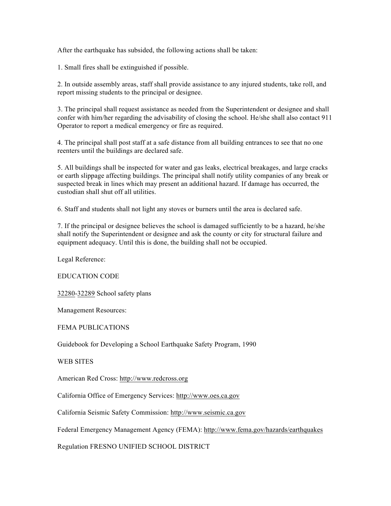After the earthquake has subsided, the following actions shall be taken:

1. Small fires shall be extinguished if possible.

2. In outside assembly areas, staff shall provide assistance to any injured students, take roll, and report missing students to the principal or designee.

3. The principal shall request assistance as needed from the Superintendent or designee and shall confer with him/her regarding the advisability of closing the school. He/she shall also contact 911 Operator to report a medical emergency or fire as required.

4. The principal shall post staff at a safe distance from all building entrances to see that no one reenters until the buildings are declared safe.

5. All buildings shall be inspected for water and gas leaks, electrical breakages, and large cracks or earth slippage affecting buildings. The principal shall notify utility companies of any break or suspected break in lines which may present an additional hazard. If damage has occurred, the custodian shall shut off all utilities.

6. Staff and students shall not light any stoves or burners until the area is declared safe.

7. If the principal or designee believes the school is damaged sufficiently to be a hazard, he/she shall notify the Superintendent or designee and ask the county or city for structural failure and equipment adequacy. Until this is done, the building shall not be occupied.

Legal Reference:

EDUCATION CODE

32280-32289 School safety plans

Management Resources:

FEMA PUBLICATIONS

Guidebook for Developing a School Earthquake Safety Program, 1990

WEB SITES

American Red Cross: http://www.redcross.org

California Office of Emergency Services: http://www.oes.ca.gov

California Seismic Safety Commission: http://www.seismic.ca.gov

Federal Emergency Management Agency (FEMA): http://www.fema.gov/hazards/earthquakes

Regulation FRESNO UNIFIED SCHOOL DISTRICT